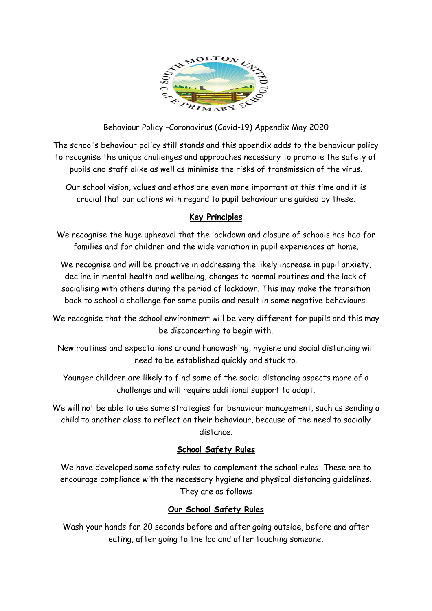

Behaviour Policy –Coronavirus (Covid-19) Appendix May 2020

The school's behaviour policy still stands and this appendix adds to the behaviour policy to recognise the unique challenges and approaches necessary to promote the safety of pupils and staff alike as well as minimise the risks of transmission of the virus.

Our school vision, values and ethos are even more important at this time and it is crucial that our actions with regard to pupil behaviour are guided by these.

## **Key Principles**

We recognise the huge upheaval that the lockdown and closure of schools has had for families and for children and the wide variation in pupil experiences at home.

We recognise and will be proactive in addressing the likely increase in pupil anxiety, decline in mental health and wellbeing, changes to normal routines and the lack of socialising with others during the period of lockdown. This may make the transition back to school a challenge for some pupils and result in some negative behaviours.

We recognise that the school environment will be very different for pupils and this may be disconcerting to begin with.

New routines and expectations around handwashing, hygiene and social distancing will need to be established quickly and stuck to.

Younger children are likely to find some of the social distancing aspects more of a challenge and will require additional support to adapt.

We will not be able to use some strategies for behaviour management, such as sending a child to another class to reflect on their behaviour, because of the need to socially distance.

## **School Safety Rules**

We have developed some safety rules to complement the school rules. These are to encourage compliance with the necessary hygiene and physical distancing guidelines. They are as follows

## **Our School Safety Rules**

Wash your hands for 20 seconds before and after going outside, before and after eating, after going to the loo and after touching someone.